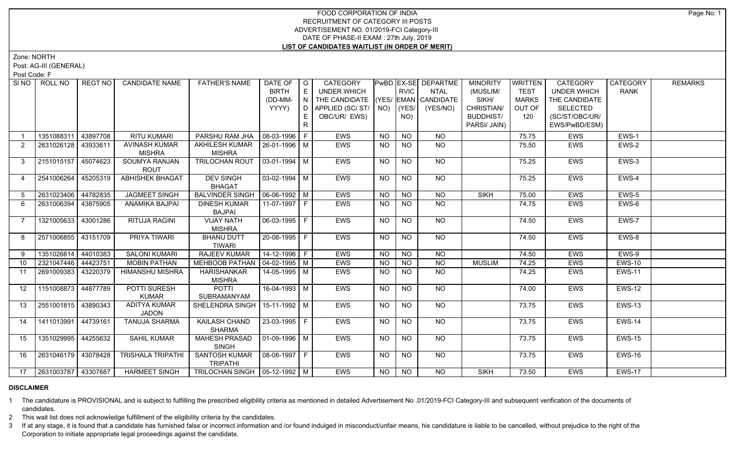# FOOD CORPORATION OF INDIA RECRUITMENT OF CATEGORY III POSTS ADVERTISEMENT NO. 01/2019-FCI Category-III DATE OF PHASE-II EXAM : 27th July, 2019 **LIST OF CANDIDATES WAITLIST (IN ORDER OF MERIT)**

Zone: NORTH

Post: AG-III (GENERAL)

Post Code: F

| SI <sub>NO</sub>  | ROLL NO             | REGT NO  | <b>CANDIDATE NAME</b>                 | <b>FATHER'S NAME</b>                             | DATE OF   G<br><b>BIRTH</b><br>(DD-MM-<br>YYYY) | E<br>  N  <br>E | <b>CATEGORY</b><br>UNDER WHICH<br>THE CANDIDATE (YES/ EMAN CANDIDATE<br>D   APPLIED (SC/ ST/   NO)<br>OBC/UR/ EWS) |                | <b>RVIC</b><br>$ $ (YES/<br>NO) | PwBD   EX-SE   DEPARTME<br><b>NTAL</b><br>(YES/NO) | <b>MINORITY</b><br>(MUSLIM/<br>SIKH/<br>CHRISTIAN/<br><b>BUDDHIST/</b> | WRITTEN<br><b>TEST</b><br><b>MARKS</b><br>OUT OF<br>120 | <b>CATEGORY</b><br><b>UNDER WHICH</b><br>THE CANDIDATE<br><b>SELECTED</b><br>(SC/ST/OBC/UR/ | CATEGORY<br><b>RANK</b> | <b>REMARKS</b> |
|-------------------|---------------------|----------|---------------------------------------|--------------------------------------------------|-------------------------------------------------|-----------------|--------------------------------------------------------------------------------------------------------------------|----------------|---------------------------------|----------------------------------------------------|------------------------------------------------------------------------|---------------------------------------------------------|---------------------------------------------------------------------------------------------|-------------------------|----------------|
|                   |                     |          |                                       |                                                  |                                                 | R               |                                                                                                                    |                |                                 |                                                    | PARSI/ JAIN)                                                           |                                                         | EWS/PwBD/ESM)                                                                               |                         |                |
|                   | 1351088311          | 43897708 | <b>RITU KUMARI</b>                    | PARSHU RAM JHA   08-03-1996   F                  |                                                 |                 | <b>EWS</b>                                                                                                         | <b>NO</b>      | <b>NO</b>                       | <b>NO</b>                                          |                                                                        | 75.75                                                   | <b>EWS</b>                                                                                  | EWS-1                   |                |
| $\overline{2}$    | 2631026128          | 43933611 | <b>AVINASH KUMAR</b><br><b>MISHRA</b> | AKHILESH KUMAR   26-01-1996   M<br><b>MISHRA</b> |                                                 |                 | EWS                                                                                                                | <b>NO</b>      | <b>NO</b>                       | NO.                                                |                                                                        | 75.50                                                   | EWS                                                                                         | EWS-2                   |                |
| $\mathbf{3}$      | 2151015157 45074623 |          | SOUMYA RANJAN<br><b>ROUT</b>          | TRILOCHAN ROUT   03-01-1994   M                  |                                                 |                 | EWS                                                                                                                | <b>NO</b>      | <b>NO</b>                       | <b>NO</b>                                          |                                                                        | 75.25                                                   | <b>EWS</b>                                                                                  | EWS-3                   |                |
| 4                 | 2541006264          | 45205319 | <b>ABHISHEK BHAGAT</b>                | <b>DEV SINGH</b><br><b>BHAGAT</b>                | $\sqrt{03-02-1994}$ M                           |                 | EWS                                                                                                                | <b>NO</b>      | <b>NO</b>                       | NO                                                 |                                                                        | 75.25                                                   | <b>EWS</b>                                                                                  | EWS-4                   |                |
| 5 <sup>5</sup>    | 2631023406 44782835 |          | <b>JAGMEET SINGH</b>                  | <b>BALVINDER SINGH</b>                           | $\mid$ 06-06-1992   M                           |                 | <b>EWS</b>                                                                                                         | <b>NO</b>      | N <sub>O</sub>                  | N <sub>O</sub>                                     | <b>SIKH</b>                                                            | 75.00                                                   | <b>EWS</b>                                                                                  | $EWS-5$                 |                |
| 6                 | 2631006394          | 43875905 | ANAMIKA BAJPAI                        | <b>DINESH KUMAR</b><br><b>BAJPAI</b>             |                                                 |                 | <b>EWS</b>                                                                                                         | <b>NO</b>      | <b>NO</b>                       | <b>NO</b>                                          |                                                                        | 74.75                                                   | <b>EWS</b>                                                                                  | EWS-6                   |                |
| $\overline{7}$    | 1321005633          | 43001286 | RITUJA RAGINI                         | <b>VIJAY NATH</b><br><b>MISHRA</b>               | 06-03-1995   F                                  |                 | <b>EWS</b>                                                                                                         | <b>NO</b>      | <b>NO</b>                       | NO                                                 |                                                                        | 74.50                                                   | <b>EWS</b>                                                                                  | EWS-7                   |                |
| 8                 | 2571006855 43151709 |          | PRIYA TIWARI                          | <b>BHANU DUTT</b><br><b>TIWARI</b>               | 20-08-1995 F                                    |                 | <b>EWS</b>                                                                                                         | <b>NO</b>      | <b>NO</b>                       | NO.                                                |                                                                        | 74.50                                                   | <b>EWS</b>                                                                                  | EWS-8                   |                |
| 9                 | 1351026814 44010383 |          | <b>SALONI KUMARI</b>                  | RAJEEV KUMAR                                     | $14 - 12 - 1996$ F                              |                 | <b>EWS</b>                                                                                                         | <b>NO</b>      | <b>NO</b>                       | <b>NO</b>                                          |                                                                        | 74.50                                                   | <b>EWS</b>                                                                                  | EWS-9                   |                |
| 10                | 2321047446 44423751 |          | <b>MOBIN PATHAN</b>                   | MEHBOOB PATHAN   04-02-1995   M                  |                                                 |                 | EWS                                                                                                                | <b>NO</b>      | <b>NO</b>                       | <b>NO</b>                                          | <b>MUSLIM</b>                                                          | 74.25                                                   | <b>EWS</b>                                                                                  | <b>EWS-10</b>           |                |
| 11                | 2691009383          | 43220379 | <b>HIMANSHU MISHRA</b>                | <b>HARISHANKAR</b><br><b>MISHRA</b>              | 14-05-1995   M                                  |                 | EWS                                                                                                                | <b>NO</b>      | <b>NO</b>                       | <b>NO</b>                                          |                                                                        | 74.25                                                   | EWS                                                                                         | <b>EWS-11</b>           |                |
| $12 \overline{ }$ | 1151008873 44877789 |          | POTTI SURESH<br><b>KUMAR</b>          | <b>POTTI</b><br>SUBRAMANYAM                      | 16-04-1993 M                                    |                 | <b>EWS</b>                                                                                                         | <b>NO</b>      | <b>NO</b>                       | NO                                                 |                                                                        | 74.00                                                   | <b>EWS</b>                                                                                  | <b>EWS-12</b>           |                |
| 13                | 2551001815 43890343 |          | <b>ADITYA KUMAR</b><br><b>JADON</b>   | SHELENDRA SINGH   15-11-1992   M                 |                                                 |                 | <b>EWS</b>                                                                                                         | N <sub>O</sub> | $\overline{NO}$                 | $\overline{NO}$                                    |                                                                        | 73.75                                                   | <b>EWS</b>                                                                                  | <b>EWS-13</b>           |                |
| 14                | 1411013991 44739161 |          | <b>TANUJA SHARMA</b>                  | <b>KAILASH CHAND</b><br><b>SHARMA</b>            | $ 23 - 03 - 1995 $ F                            |                 | <b>EWS</b>                                                                                                         | $N$ O          | N <sub>O</sub>                  | $N$ <sup>O</sup>                                   |                                                                        | 73.75                                                   | <b>EWS</b>                                                                                  | <b>EWS-14</b>           |                |
| 15                | 1351029995 44255632 |          | <b>SAHIL KUMAR</b>                    | <b>MAHESH PRASAD</b><br><b>SINGH</b>             | 01-09-1996   M                                  |                 | <b>EWS</b>                                                                                                         | NO             | NO                              | NO                                                 |                                                                        | 73.75                                                   | EWS                                                                                         | <b>EWS-15</b>           |                |
| 16                | 2631046179 43078428 |          | <b>TRISHALA TRIPATHI</b>              | SANTOSH KUMAR<br><b>TRIPATHI</b>                 | $ 08-08-1997 F$                                 |                 | <b>EWS</b>                                                                                                         | <b>NO</b>      | <b>NO</b>                       | NO                                                 |                                                                        | 73.75                                                   | <b>EWS</b>                                                                                  | <b>EWS-16</b>           |                |
| 17                | 2631003787 43307687 |          | <b>HARMEET SINGH</b>                  | TRILOCHAN SINGH   05-12-1992   M                 |                                                 |                 | <b>EWS</b>                                                                                                         | NO.            | NO                              | <b>NO</b>                                          | <b>SIKH</b>                                                            | 73.50                                                   | <b>EWS</b>                                                                                  | <b>EWS-17</b>           |                |

#### **DISCLAIMER**

1 The candidature is PROVISIONAL and is subject to fulfilling the prescribed eligibility criteria as mentioned in detailed Advertisement No .01/2019-FCI Category-III and subsequent verification of the documents of candidates.

2 This wait list does not acknowledge fulfillment of the eligibility criteria by the candidates.

3 If at any stage, it is found that a candidate has furnished false or incorrect information and /or found indulged in misconduct/unfair means, his candidature is liable to be cancelled, without prejudice to the right of t Corporation to initiate appropriate legal proceedings against the candidate.

Page No: 1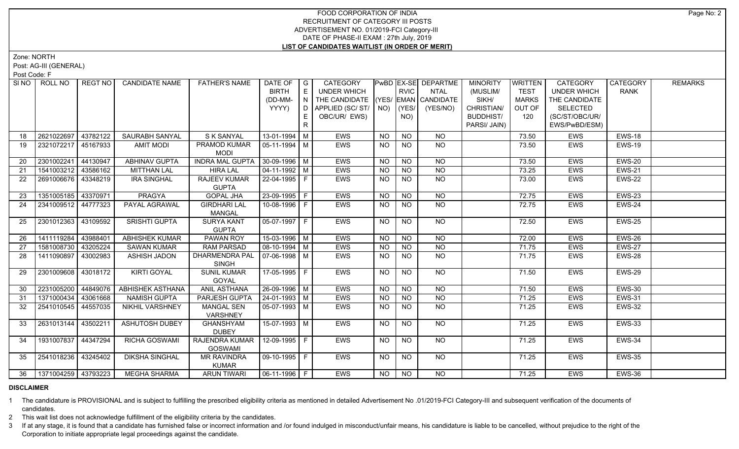# FOOD CORPORATION OF INDIA RECRUITMENT OF CATEGORY III POSTS ADVERTISEMENT NO. 01/2019-FCI Category-III DATE OF PHASE-II EXAM : 27th July, 2019 **LIST OF CANDIDATES WAITLIST (IN ORDER OF MERIT)**

Zone: NORTH

Post: AG-III (GENERAL)

Post Code: F

| SI <sub>NO</sub>  | ROLL NO             | <b>REGT NO</b> | <b>CANDIDATE NAME</b>   | <b>FATHER'S NAME</b>                  | DATE OF $ G $<br><b>BIRTH</b><br>(DD-MM-<br>YYYY) | E<br>IN.<br>E.<br>R | CATEGORY<br>UNDER WHICH<br>THE CANDIDATE (YES/ EMAN CANDIDATE<br>D APPLIED (SC/ ST/ NO)<br>OBC/UR/ EWS) |           | <b>RVIC</b><br>(YES/<br>NO) | PwBD EX-SE DEPARTME<br><b>NTAL</b><br>(YES/NO) | <b>MINORITY</b><br>(MUSLIM/<br>SIKH/<br>CHRISTIAN/<br><b>BUDDHIST/</b><br>PARSI/ JAIN) | <b>WRITTEN</b><br><b>TEST</b><br><b>MARKS</b><br>OUT OF<br>120 | CATEGORY<br><b>UNDER WHICH</b><br>THE CANDIDATE<br><b>SELECTED</b><br>(SC/ST/OBC/UR/<br>EWS/PwBD/ESM) | CATEGORY<br><b>RANK</b> | <b>REMARKS</b> |
|-------------------|---------------------|----------------|-------------------------|---------------------------------------|---------------------------------------------------|---------------------|---------------------------------------------------------------------------------------------------------|-----------|-----------------------------|------------------------------------------------|----------------------------------------------------------------------------------------|----------------------------------------------------------------|-------------------------------------------------------------------------------------------------------|-------------------------|----------------|
| 18                | 2621022697          | 43782122       | SAURABH SANYAL          | S K SANYAL                            | 13-01-1994 M                                      |                     | EWS                                                                                                     | <b>NO</b> | <b>NO</b>                   | <b>NO</b>                                      |                                                                                        | 73.50                                                          | EWS                                                                                                   | <b>EWS-18</b>           |                |
| 19                | 2321072217 45167933 |                | <b>AMIT MODI</b>        | PRAMOD KUMAR<br><b>MODI</b>           | $\sqrt{05-11-1994}$ M                             |                     | <b>EWS</b>                                                                                              | <b>NO</b> | NO                          | NO                                             |                                                                                        | 73.50                                                          | <b>EWS</b>                                                                                            | <b>EWS-19</b>           |                |
| 20                | 2301002241          | 44130947       | <b>ABHINAV GUPTA</b>    | <b>INDRA MAL GUPTA</b>                | $30-09-1996$ M                                    |                     | <b>EWS</b>                                                                                              | <b>NO</b> | <b>NO</b>                   | <b>NO</b>                                      |                                                                                        | 73.50                                                          | <b>EWS</b>                                                                                            | <b>EWS-20</b>           |                |
| 21                | 1541003212 43586162 |                | <b>MITTHAN LAL</b>      | <b>HIRA LAL</b>                       | $04 - 11 - 1992$ M                                |                     | EWS                                                                                                     | <b>NO</b> | NO.                         | <b>NO</b>                                      |                                                                                        | 73.25                                                          | <b>EWS</b>                                                                                            | <b>EWS-21</b>           |                |
| $22 \overline{ }$ | 2691006676 3348219  |                | <b>IRA SINGHAL</b>      | <b>RAJEEV KUMAR</b><br><b>GUPTA</b>   | 22-04-1995 F                                      |                     | <b>EWS</b>                                                                                              | <b>NO</b> | <b>NO</b>                   | <b>NO</b>                                      |                                                                                        | 73.00                                                          | <b>EWS</b>                                                                                            | <b>EWS-22</b>           |                |
| 23                | 1351005185 43370971 |                | PRAGYA                  | <b>GOPAL JHA</b>                      | $23 - 09 - 1995$ F                                |                     | EWS                                                                                                     | <b>NO</b> | <b>NO</b>                   | <b>NO</b>                                      |                                                                                        | 72.75                                                          | EWS                                                                                                   | EWS-23                  |                |
| 24                | 2341009512 44777323 |                | PAYAL AGRAWAL           | <b>GIRDHARI LAL</b><br><b>MANGAL</b>  | 10-08-1996 F                                      |                     | <b>EWS</b>                                                                                              | <b>NO</b> | NO                          | NO                                             |                                                                                        | 72.75                                                          | <b>EWS</b>                                                                                            | EWS-24                  |                |
| 25                | 2301012363 43109592 |                | <b>SRISHTI GUPTA</b>    | <b>SURYA KANT</b><br><b>GUPTA</b>     | $ 05-07-1997 F$                                   |                     | <b>EWS</b>                                                                                              | <b>NO</b> | <b>NO</b>                   | $N$ <sup>O</sup>                               |                                                                                        | 72.50                                                          | <b>EWS</b>                                                                                            | <b>EWS-25</b>           |                |
| 26                | 1411119284          | 43988401       | <b>ABHISHEK KUMAR</b>   | <b>PAWAN ROY</b>                      | $15-03-1996$ M                                    |                     | <b>EWS</b>                                                                                              | <b>NO</b> | <b>NO</b>                   | NO                                             |                                                                                        | 72.00                                                          | <b>EWS</b>                                                                                            | EWS-26                  |                |
| 27                | 1581008730 43205224 |                | <b>SAWAN KUMAR</b>      | <b>RAM PARSAD</b>                     | $\boxed{08-10-1994}$ M                            |                     | EWS                                                                                                     | <b>NO</b> | $N$ O                       | N <sub>O</sub>                                 |                                                                                        | 71.75                                                          | <b>EWS</b>                                                                                            | <b>EWS-27</b>           |                |
| 28                | 1411090897          | 43002983       | <b>ASHISH JADON</b>     | <b>DHARMENDRA PAL</b><br><b>SINGH</b> | 07-06-1998   M                                    |                     | <b>EWS</b>                                                                                              | <b>NO</b> | <b>NO</b>                   | <b>NO</b>                                      |                                                                                        | 71.75                                                          | EWS                                                                                                   | EWS-28                  |                |
| 29                | 2301009608 43018172 |                | <b>KIRTI GOYAL</b>      | <b>SUNIL KUMAR</b><br>GOYAL           | 17-05-1995 F                                      |                     | EWS                                                                                                     | <b>NO</b> | <b>NO</b>                   | NO                                             |                                                                                        | 71.50                                                          | <b>EWS</b>                                                                                            | EWS-29                  |                |
| 30                | 2231005200          | 44849076       | <b>ABHISHEK ASTHANA</b> | <b>ANIL ASTHANA</b>                   | $26 - 09 - 1996$ M                                |                     | EWS                                                                                                     | <b>NO</b> | <b>NO</b>                   | <b>NO</b>                                      |                                                                                        | 71.50                                                          | EWS                                                                                                   | <b>EWS-30</b>           |                |
| 31                | 1371000434 43061668 |                | <b>NAMISH GUPTA</b>     | PARJESH GUPTA                         | $24 - 01 - 1993$ M                                |                     | EWS                                                                                                     | <b>NO</b> | <b>NO</b>                   | <b>NO</b>                                      |                                                                                        | 71.25                                                          | EWS                                                                                                   | <b>EWS-31</b>           |                |
| 32                | 2541010545 44557035 |                | NIKHIL VARSHNEY         | <b>MANGAL SEN</b><br>VARSHNEY         | 05-07-1993 M                                      |                     | EWS                                                                                                     | <b>NO</b> | <b>NO</b>                   | <b>NO</b>                                      |                                                                                        | 71.25                                                          | EWS                                                                                                   | <b>EWS-32</b>           |                |
| 33                | 2631013144 43502211 |                | <b>ASHUTOSH DUBEY</b>   | <b>GHANSHYAM</b><br><b>DUBEY</b>      | 15-07-1993   M                                    |                     | EWS                                                                                                     | NO.       | <b>NO</b>                   | <b>NO</b>                                      |                                                                                        | 71.25                                                          | EWS                                                                                                   | <b>EWS-33</b>           |                |
| 34                | 1931007837 44347294 |                | <b>RICHA GOSWAMI</b>    | RAJENDRA KUMAR<br><b>GOSWAMI</b>      | $12-09-1995$ F                                    |                     | <b>EWS</b>                                                                                              | <b>NO</b> | $\overline{NO}$             | NO                                             |                                                                                        | 71.25                                                          | EWS                                                                                                   | EWS-34                  |                |
| 35                | 2541018236 43245402 |                | <b>DIKSHA SINGHAL</b>   | <b>MR RAVINDRA</b><br><b>KUMAR</b>    | 09-10-1995   F                                    |                     | EWS                                                                                                     | <b>NO</b> | NO.                         | NO.                                            |                                                                                        | 71.25                                                          | EWS                                                                                                   | <b>EWS-35</b>           |                |
| 36                | 1371004259 43793223 |                | MEGHA SHARMA            | <b>ARUN TIWARI</b>                    | $\boxed{06-11-1996}$ F                            |                     | <b>EWS</b>                                                                                              | NO        | NO                          | NO                                             |                                                                                        | 71.25                                                          | <b>EWS</b>                                                                                            | <b>EWS-36</b>           |                |

### **DISCLAIMER**

1 The candidature is PROVISIONAL and is subject to fulfilling the prescribed eligibility criteria as mentioned in detailed Advertisement No .01/2019-FCI Category-III and subsequent verification of the documents of candidates.

2 This wait list does not acknowledge fulfillment of the eligibility criteria by the candidates.

3 If at any stage, it is found that a candidate has furnished false or incorrect information and /or found indulged in misconduct/unfair means, his candidature is liable to be cancelled, without prejudice to the right of t Corporation to initiate appropriate legal proceedings against the candidate.

Page No: 2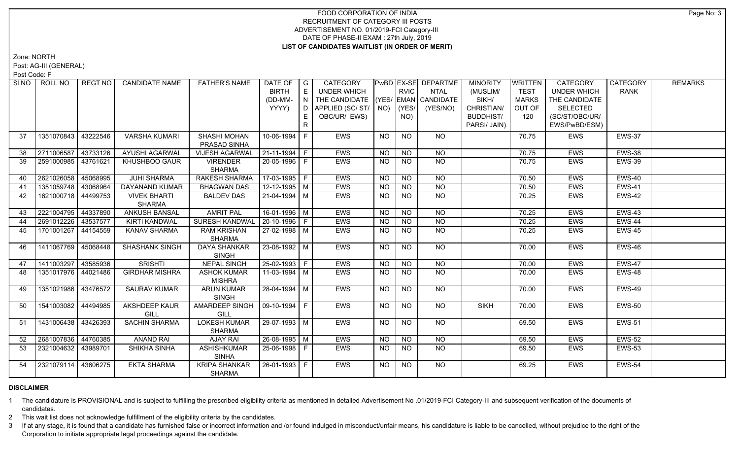# FOOD CORPORATION OF INDIA RECRUITMENT OF CATEGORY III POSTS ADVERTISEMENT NO. 01/2019-FCI Category-III DATE OF PHASE-II EXAM : 27th July, 2019 **LIST OF CANDIDATES WAITLIST (IN ORDER OF MERIT)**

Zone: NORTH

Post: AG-III (GENERAL)

Post Code: F

| SI NO | ROLL NO             | REGT NO  | <b>CANDIDATE NAME</b> | <b>FATHER'S NAME</b>  | DATE OF            | $\overline{\phantom{a}}$ G | CATEGORY                           |             |                 | PwBD EX-SE DEPARTME | <b>MINORITY</b>  | <b>WRITTEN</b> | CATEGORY           | CATEGORY      | <b>REMARKS</b> |
|-------|---------------------|----------|-----------------------|-----------------------|--------------------|----------------------------|------------------------------------|-------------|-----------------|---------------------|------------------|----------------|--------------------|---------------|----------------|
|       |                     |          |                       |                       | <b>BIRTH</b>       | E                          | <b>UNDER WHICH</b>                 |             | RVIC            | <b>NTAL</b>         | (MUSLIM/         | <b>TEST</b>    | <b>UNDER WHICH</b> | <b>RANK</b>   |                |
|       |                     |          |                       |                       | (DD-MM-            | N.                         | THE CANDIDATE (YES/ EMAN CANDIDATE |             |                 |                     | SIKH/            | <b>MARKS</b>   | THE CANDIDATE      |               |                |
|       |                     |          |                       |                       | YYYY)              | D                          | APPLIED (SC/ST/                    | $NO)$ (YES/ |                 | (YES/NO)            | CHRISTIAN/       | OUT OF         | <b>SELECTED</b>    |               |                |
|       |                     |          |                       |                       |                    | E.                         | OBC/UR/ EWS)                       |             | NO)             |                     | <b>BUDDHIST/</b> | 120            | (SC/ST/OBC/UR/     |               |                |
|       |                     |          |                       |                       |                    | R                          |                                    |             |                 |                     | PARSI/ JAIN)     |                | EWS/PwBD/ESM)      |               |                |
| 37    | 1351070843          | 43222546 | <b>VARSHA KUMARI</b>  | SHASHI MOHAN          | 10-06-1994         | F                          | EWS                                | <b>NO</b>   | <b>NO</b>       | <b>NO</b>           |                  | 70.75          | EWS                | <b>EWS-37</b> |                |
|       |                     |          |                       | PRASAD SINHA          |                    |                            |                                    |             |                 |                     |                  |                |                    |               |                |
| 38    | 2711006587          | 43733126 | <b>AYUSHI AGARWAL</b> | <b>VIJESH AGARWAL</b> | 21-11-1994 F       |                            | EWS                                | <b>NO</b>   | <b>NO</b>       | <b>NO</b>           |                  | 70.75          | EWS                | EWS-38        |                |
| 39    | 2591000985 43761621 |          | KHUSHBOO GAUR         | <b>VIRENDER</b>       | 20-05-1996 F       |                            | <b>EWS</b>                         | <b>NO</b>   | $\overline{NQ}$ | $\overline{NQ}$     |                  | 70.75          | <b>EWS</b>         | <b>EWS-39</b> |                |
|       |                     |          |                       | <b>SHARMA</b>         |                    |                            |                                    |             |                 |                     |                  |                |                    |               |                |
| 40    | 2621026058          | 45068995 | <b>JUHI SHARMA</b>    | <b>RAKESH SHARMA</b>  | $17-03-1995$ F     |                            | EWS                                | <b>NO</b>   | N <sub>O</sub>  | $\overline{NQ}$     |                  | 70.50          | <b>EWS</b>         | EWS-40        |                |
| 41    | 1351059748          | 43068964 | <b>DAYANAND KUMAR</b> | <b>BHAGWAN DAS</b>    | $12 - 12 - 1995$ M |                            | <b>EWS</b>                         | <b>NO</b>   | N <sub>O</sub>  | $\overline{NO}$     |                  | 70.50          | <b>EWS</b>         | <b>EWS-41</b> |                |
| 42    | 1621000718          | 44499753 | <b>VIVEK BHARTI</b>   | <b>BALDEV DAS</b>     | 21-04-1994 M       |                            | EWS                                | NO.         | <b>NO</b>       | $\overline{NQ}$     |                  | 70.25          | EWS                | EWS-42        |                |
|       |                     |          | <b>SHARMA</b>         |                       |                    |                            |                                    |             |                 |                     |                  |                |                    |               |                |
| 43    | 2221004795          | 44337890 | <b>ANKUSH BANSAL</b>  | <b>AMRIT PAL</b>      | 16-01-1996 M       |                            | EWS                                | <b>NO</b>   | N <sub>O</sub>  | N <sub>O</sub>      |                  | 70.25          | <b>EWS</b>         | <b>EWS-43</b> |                |
| 44    | 2691012226          | 43537577 | <b>KIRTI KANDWAL</b>  | <b>SURESH KANDWAI</b> | 20-10-1996 F       |                            | <b>EWS</b>                         | <b>NO</b>   | <b>NO</b>       | $\overline{NO}$     |                  | 70.25          | <b>EWS</b>         | EWS-44        |                |
| 45    | 1701001267 44154559 |          | KANAV SHARMA          | <b>RAM KRISHAN</b>    | 27-02-1998 M       |                            | EWS                                | <b>NO</b>   | <b>NO</b>       | N <sub>O</sub>      |                  | 70.25          | <b>EWS</b>         | EWS-45        |                |
|       |                     |          |                       | <b>SHARMA</b>         |                    |                            |                                    |             |                 |                     |                  |                |                    |               |                |
| 46    | 1411067769 45068448 |          | <b>SHASHANK SINGH</b> | <b>DAYA SHANKAR</b>   | 23-08-1992 M       |                            | <b>EWS</b>                         | <b>NO</b>   | N <sub>O</sub>  | $N$ O               |                  | 70.00          | <b>EWS</b>         | <b>EWS-46</b> |                |
|       |                     |          |                       | SINGH                 |                    |                            |                                    |             |                 |                     |                  |                |                    |               |                |
| 47    | 1411003297          | 43585936 | <b>SRISHTI</b>        | <b>NEPAL SINGH</b>    | 25-02-1993 F       |                            | <b>EWS</b>                         | <b>NO</b>   | <b>NO</b>       | N <sub>O</sub>      |                  | 70.00          | <b>EWS</b>         | EWS-47        |                |
| 48    | 1351017976 44021486 |          | <b>GIRDHAR MISHRA</b> | <b>ASHOK KUMAR</b>    | 11-03-1994 M       |                            | EWS                                | <b>NO</b>   | N <sub>O</sub>  | N <sub>O</sub>      |                  | 70.00          | <b>EWS</b>         | EWS-48        |                |
|       |                     |          |                       | <b>MISHRA</b>         |                    |                            |                                    |             |                 |                     |                  |                |                    |               |                |
| 49    | 1351021986 43476572 |          | <b>SAURAV KUMAR</b>   | <b>ARUN KUMAR</b>     | 28-04-1994 M       |                            | EWS                                | NO          | <b>NO</b>       | NO                  |                  | 70.00          | <b>EWS</b>         | EWS-49        |                |
|       |                     |          |                       | <b>SINGH</b>          |                    |                            |                                    |             |                 |                     |                  |                |                    |               |                |
| 50    | 1541003082 44494985 |          | <b>AKSHDEEP KAUR</b>  | AMARDEEP SINGH        | $09-10-1994$ F     |                            | EWS                                | <b>NO</b>   | $\overline{NO}$ | $\overline{NQ}$     | <b>SIKH</b>      | 70.00          | <b>EWS</b>         | <b>EWS-50</b> |                |
|       |                     |          | GILL                  | <b>GILL</b>           |                    |                            |                                    |             |                 |                     |                  |                |                    |               |                |
| 51    | 1431006438 43426393 |          | <b>SACHIN SHARMA</b>  | <b>LOKESH KUMAR</b>   | 29-07-1993 M       |                            | <b>EWS</b>                         | <b>NO</b>   | N <sub>O</sub>  | N <sub>O</sub>      |                  | 69.50          | <b>EWS</b>         | <b>EWS-51</b> |                |
|       |                     |          |                       | <b>SHARMA</b>         |                    |                            |                                    |             |                 |                     |                  |                |                    |               |                |
| 52    | 2681007836 44760385 |          | <b>ANAND RAI</b>      | <b>AJAY RAI</b>       | 26-08-1995 M       |                            | EWS                                | NO.         | <b>NO</b>       | <b>NO</b>           |                  | 69.50          | EWS                | <b>EWS-52</b> |                |
| 53    | 2321004632 43989701 |          | SHIKHA SINHA          | <b>ASHISHKUMAR</b>    | 25-06-1998 F       |                            | <b>EWS</b>                         | <b>NO</b>   | N <sub>O</sub>  | $N$ O               |                  | 69.50          | <b>EWS</b>         | <b>EWS-53</b> |                |
|       |                     |          |                       | <b>SINHA</b>          |                    |                            |                                    |             |                 |                     |                  |                |                    |               |                |
| 54    | 2321079114 43606275 |          | <b>EKTA SHARMA</b>    | <b>KRIPA SHANKAR</b>  | 26-01-1993 F       |                            | <b>EWS</b>                         | NO          | <b>NO</b>       | NO                  |                  | 69.25          | <b>EWS</b>         | <b>EWS-54</b> |                |
|       |                     |          |                       | <b>SHARMA</b>         |                    |                            |                                    |             |                 |                     |                  |                |                    |               |                |

### **DISCLAIMER**

1 The candidature is PROVISIONAL and is subject to fulfilling the prescribed eligibility criteria as mentioned in detailed Advertisement No .01/2019-FCI Category-III and subsequent verification of the documents of candidates.

2 This wait list does not acknowledge fulfillment of the eligibility criteria by the candidates.

3 If at any stage, it is found that a candidate has furnished false or incorrect information and /or found indulged in misconduct/unfair means, his candidature is liable to be cancelled, without prejudice to the right of t Corporation to initiate appropriate legal proceedings against the candidate.

Page No: 3